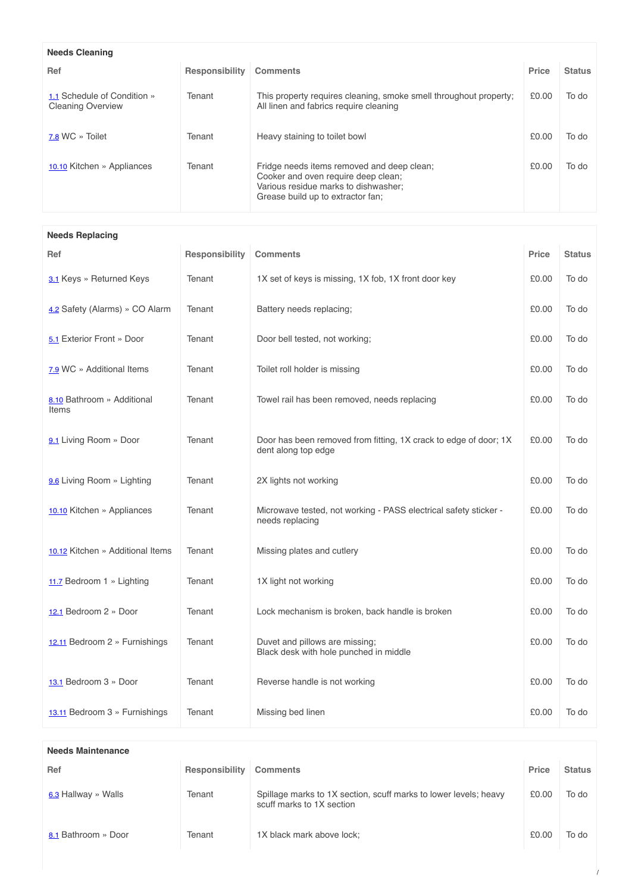| <b>Needs Cleaning</b>                                   |                |                                                                                                                                                                |       |               |  |
|---------------------------------------------------------|----------------|----------------------------------------------------------------------------------------------------------------------------------------------------------------|-------|---------------|--|
| Ref                                                     | Responsibility | <b>Comments</b>                                                                                                                                                | Price | <b>Status</b> |  |
| 1.1 Schedule of Condition »<br><b>Cleaning Overview</b> | Tenant         | This property requires cleaning, smoke smell throughout property;<br>All linen and fabrics require cleaning                                                    | £0.00 | To do         |  |
| 7.8 WC » Toilet                                         | Tenant         | Heavy staining to toilet bowl                                                                                                                                  | £0.00 | To do         |  |
| 10.10 Kitchen » Appliances                              | Tenant         | Fridge needs items removed and deep clean;<br>Cooker and oven require deep clean;<br>Various residue marks to dishwasher;<br>Grease build up to extractor fan: | £0.00 | To do         |  |

**Needs Replacing**

| Ref                                 | Responsibility | <b>Comments</b>                                                                         | Price | <b>Status</b> |
|-------------------------------------|----------------|-----------------------------------------------------------------------------------------|-------|---------------|
| 3.1 Keys » Returned Keys            | Tenant         | 1X set of keys is missing, 1X fob, 1X front door key                                    | £0.00 | To do         |
| 4.2 Safety (Alarms) » CO Alarm      | Tenant         | Battery needs replacing;                                                                | £0.00 | To do         |
| 5.1 Exterior Front » Door           | Tenant         | Door bell tested, not working;                                                          | £0.00 | To do         |
| 7.9 WC » Additional Items           | Tenant         | Toilet roll holder is missing                                                           | £0.00 | To do         |
| 8.10 Bathroom » Additional<br>Items | Tenant         | Towel rail has been removed, needs replacing                                            | £0.00 | To do         |
| 9.1 Living Room » Door              | Tenant         | Door has been removed from fitting, 1X crack to edge of door; 1X<br>dent along top edge | £0.00 | To do         |
| 9.6 Living Room » Lighting          | Tenant         | 2X lights not working                                                                   | £0.00 | To do         |
| 10.10 Kitchen » Appliances          | Tenant         | Microwave tested, not working - PASS electrical safety sticker -<br>needs replacing     | £0.00 | To do         |
| 10.12 Kitchen » Additional Items    | Tenant         | Missing plates and cutlery                                                              | £0.00 | To do         |
| 11.7 Bedroom 1 » Lighting           | Tenant         | 1X light not working                                                                    | £0.00 | To do         |
| 12.1 Bedroom 2 » Door               | Tenant         | Lock mechanism is broken, back handle is broken                                         | £0.00 | To do         |
| 12.11 Bedroom 2 » Furnishings       | Tenant         | Duvet and pillows are missing;<br>Black desk with hole punched in middle                | £0.00 | To do         |
| 13.1 Bedroom 3 » Door               | Tenant         | Reverse handle is not working                                                           | £0.00 | To do         |
| 13.11 Bedroom 3 » Furnishings       | Tenant         | Missing bed linen                                                                       | £0.00 | To do         |

| <b>Needs Maintenance</b> |                |                                                                                               |       |               |  |
|--------------------------|----------------|-----------------------------------------------------------------------------------------------|-------|---------------|--|
| Ref                      | Responsibility | <b>Comments</b>                                                                               | Price | <b>Status</b> |  |
| 6.3 Hallway » Walls      | Tenant         | Spillage marks to 1X section, scuff marks to lower levels; heavy<br>scuff marks to 1X section | £0.00 | To do         |  |
| 8.1 Bathroom » Door      | Tenant         | 1X black mark above lock;                                                                     | £0.00 | To do         |  |